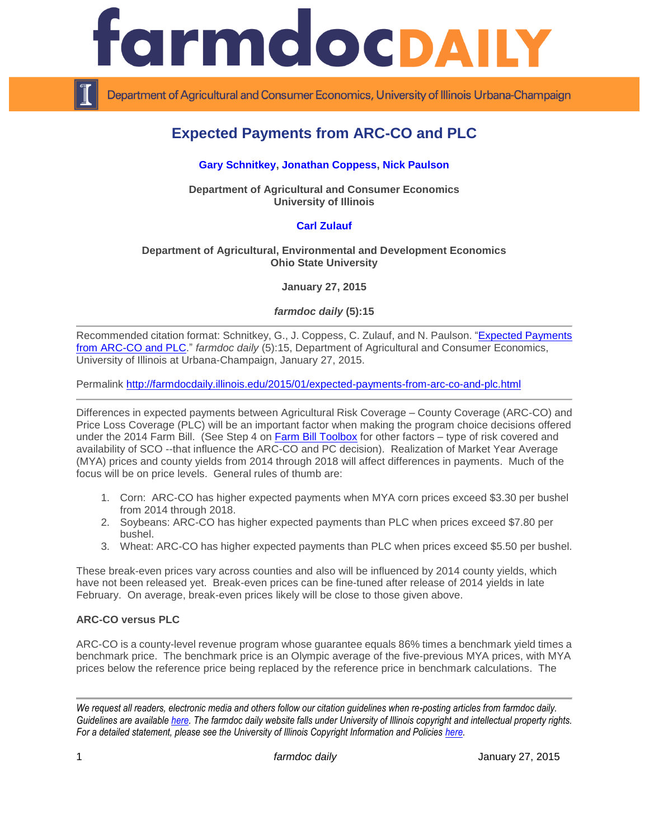

Department of Agricultural and Consumer Economics, University of Illinois Urbana-Champaign

# **Expected Payments from ARC-CO and PLC**

# **[Gary Schnitkey,](http://farmdoc.illinois.edu/schnitkey/) [Jonathan Coppess,](http://farmdoc.illinois.edu/coppess) [Nick Paulson](http://farmdoc.illinois.edu/paulson)**

**Department of Agricultural and Consumer Economics University of Illinois**

# **[Carl Zulauf](http://aede.osu.edu/our-people/carl-zulauf)**

#### **Department of Agricultural, Environmental and Development Economics Ohio State University**

**January 27, 2015**

*farmdoc daily* **(5):15**

Recommended citation format: Schnitkey, G., J. Coppess, C. Zulauf, and N. Paulson. "Expected Payments [from ARC-CO and PLC.](http://farmdocdaily.illinois.edu/2015/01/expected-payments-from-arc-co-and-plc.html)" *farmdoc daily* (5):15, Department of Agricultural and Consumer Economics, University of Illinois at Urbana-Champaign, January 27, 2015.

Permalink<http://farmdocdaily.illinois.edu/2015/01/expected-payments-from-arc-co-and-plc.html>

Differences in expected payments between Agricultural Risk Coverage – County Coverage (ARC-CO) and Price Loss Coverage (PLC) will be an important factor when making the program choice decisions offered under the 2014 Farm Bill. (See Step 4 on [Farm Bill Toolbox](http://farmbilltoolbox.farmdoc.illinois.edu/arc-plc-decision-steps.html) for other factors - type of risk covered and availability of SCO --that influence the ARC-CO and PC decision). Realization of Market Year Average (MYA) prices and county yields from 2014 through 2018 will affect differences in payments. Much of the focus will be on price levels. General rules of thumb are:

- 1. Corn: ARC-CO has higher expected payments when MYA corn prices exceed \$3.30 per bushel from 2014 through 2018.
- 2. Soybeans: ARC-CO has higher expected payments than PLC when prices exceed \$7.80 per bushel.
- 3. Wheat: ARC-CO has higher expected payments than PLC when prices exceed \$5.50 per bushel.

These break-even prices vary across counties and also will be influenced by 2014 county yields, which have not been released yet. Break-even prices can be fine-tuned after release of 2014 yields in late February. On average, break-even prices likely will be close to those given above.

## **ARC-CO versus PLC**

ARC-CO is a county-level revenue program whose guarantee equals 86% times a benchmark yield times a benchmark price. The benchmark price is an Olympic average of the five-previous MYA prices, with MYA prices below the reference price being replaced by the reference price in benchmark calculations. The

*We request all readers, electronic media and others follow our citation guidelines when re-posting articles from farmdoc daily. Guidelines are available [here.](http://farmdocdaily.illinois.edu/citationguide.html) The farmdoc daily website falls under University of Illinois copyright and intellectual property rights. For a detailed statement, please see the University of Illinois Copyright Information and Policies [here.](http://www.cio.illinois.edu/policies/copyright/)*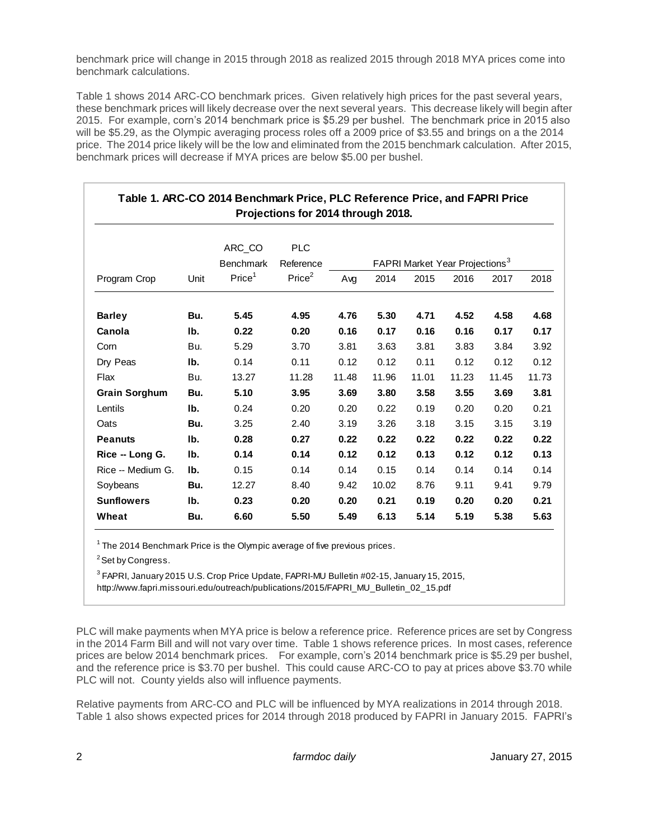benchmark price will change in 2015 through 2018 as realized 2015 through 2018 MYA prices come into benchmark calculations.

Table 1 shows 2014 ARC-CO benchmark prices. Given relatively high prices for the past several years, these benchmark prices will likely decrease over the next several years. This decrease likely will begin after 2015. For example, corn's 2014 benchmark price is \$5.29 per bushel. The benchmark price in 2015 also will be \$5.29, as the Olympic averaging process roles off a 2009 price of \$3.55 and brings on a the 2014 price. The 2014 price likely will be the low and eliminated from the 2015 benchmark calculation. After 2015, benchmark prices will decrease if MYA prices are below \$5.00 per bushel.

| Table 1. ARC-CO 2014 Benchmark Price, PLC Reference Price, and FAPRI Price |      |                    |                    |                                                   |       |       |       |       |       |  |  |  |  |
|----------------------------------------------------------------------------|------|--------------------|--------------------|---------------------------------------------------|-------|-------|-------|-------|-------|--|--|--|--|
| Projections for 2014 through 2018.                                         |      |                    |                    |                                                   |       |       |       |       |       |  |  |  |  |
|                                                                            |      |                    |                    |                                                   |       |       |       |       |       |  |  |  |  |
|                                                                            |      | ARC_CO             | <b>PLC</b>         |                                                   |       |       |       |       |       |  |  |  |  |
|                                                                            |      | <b>Benchmark</b>   | Reference          | <b>FAPRI Market Year Projections</b> <sup>3</sup> |       |       |       |       |       |  |  |  |  |
| Program Crop                                                               | Unit | Price <sup>1</sup> | Price <sup>2</sup> | Avg                                               | 2014  | 2015  | 2016  | 2017  | 2018  |  |  |  |  |
| <b>Barley</b>                                                              | Bu.  | 5.45               | 4.95               | 4.76                                              | 5.30  | 4.71  | 4.52  | 4.58  | 4.68  |  |  |  |  |
| Canola                                                                     | Ib.  | 0.22               | 0.20               | 0.16                                              | 0.17  | 0.16  | 0.16  | 0.17  | 0.17  |  |  |  |  |
| Corn                                                                       | Bu.  | 5.29               | 3.70               | 3.81                                              | 3.63  | 3.81  | 3.83  | 3.84  | 3.92  |  |  |  |  |
| Dry Peas                                                                   | Ib.  | 0.14               | 0.11               | 0.12                                              | 0.12  | 0.11  | 0.12  | 0.12  | 0.12  |  |  |  |  |
| Flax                                                                       | Bu.  | 13.27              | 11.28              | 11.48                                             | 11.96 | 11.01 | 11.23 | 11.45 | 11.73 |  |  |  |  |
| <b>Grain Sorghum</b>                                                       | Bu.  | 5.10               | 3.95               | 3.69                                              | 3.80  | 3.58  | 3.55  | 3.69  | 3.81  |  |  |  |  |
| Lentils                                                                    | Ib.  | 0.24               | 0.20               | 0.20                                              | 0.22  | 0.19  | 0.20  | 0.20  | 0.21  |  |  |  |  |
| Oats                                                                       | Bu.  | 3.25               | 2.40               | 3.19                                              | 3.26  | 3.18  | 3.15  | 3.15  | 3.19  |  |  |  |  |
| <b>Peanuts</b>                                                             | Ib.  | 0.28               | 0.27               | 0.22                                              | 0.22  | 0.22  | 0.22  | 0.22  | 0.22  |  |  |  |  |
| Rice - Long G.                                                             | Ib.  | 0.14               | 0.14               | 0.12                                              | 0.12  | 0.13  | 0.12  | 0.12  | 0.13  |  |  |  |  |
| Rice -- Medium G.                                                          | Ib.  | 0.15               | 0.14               | 0.14                                              | 0.15  | 0.14  | 0.14  | 0.14  | 0.14  |  |  |  |  |
| Soybeans                                                                   | Bu.  | 12.27              | 8.40               | 9.42                                              | 10.02 | 8.76  | 9.11  | 9.41  | 9.79  |  |  |  |  |
| <b>Sunflowers</b>                                                          | Ib.  | 0.23               | 0.20               | 0.20                                              | 0.21  | 0.19  | 0.20  | 0.20  | 0.21  |  |  |  |  |
| Wheat                                                                      | Bu.  | 6.60               | 5.50               | 5.49                                              | 6.13  | 5.14  | 5.19  | 5.38  | 5.63  |  |  |  |  |

 $1$  The 2014 Benchmark Price is the Olympic average of five previous prices.

<sup>2</sup> Set by Congress.

<sup>3</sup> FAPRI, January 2015 U.S. Crop Price Update, FAPRI-MU Bulletin #02-15, January 15, 2015, http://www.fapri.missouri.edu/outreach/publications/2015/FAPRI\_MU\_Bulletin\_02\_15.pdf

PLC will make payments when MYA price is below a reference price. Reference prices are set by Congress in the 2014 Farm Bill and will not vary over time. Table 1 shows reference prices. In most cases, reference prices are below 2014 benchmark prices. For example, corn's 2014 benchmark price is \$5.29 per bushel, and the reference price is \$3.70 per bushel. This could cause ARC-CO to pay at prices above \$3.70 while PLC will not. County yields also will influence payments.

Relative payments from ARC-CO and PLC will be influenced by MYA realizations in 2014 through 2018. Table 1 also shows expected prices for 2014 through 2018 produced by FAPRI in January 2015. FAPRI's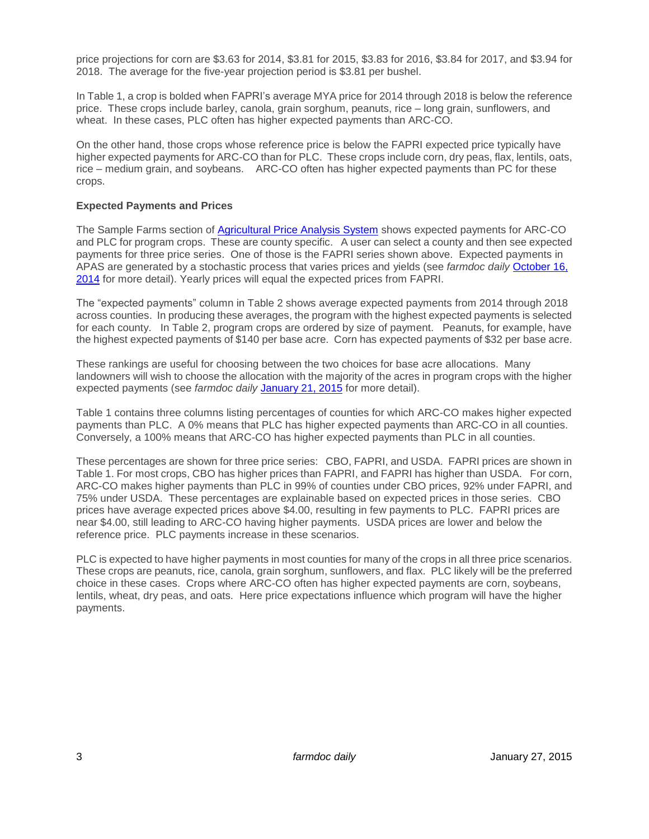price projections for corn are \$3.63 for 2014, \$3.81 for 2015, \$3.83 for 2016, \$3.84 for 2017, and \$3.94 for 2018. The average for the five-year projection period is \$3.81 per bushel.

In Table 1, a crop is bolded when FAPRI's average MYA price for 2014 through 2018 is below the reference price. These crops include barley, canola, grain sorghum, peanuts, rice – long grain, sunflowers, and wheat. In these cases, PLC often has higher expected payments than ARC-CO.

On the other hand, those crops whose reference price is below the FAPRI expected price typically have higher expected payments for ARC-CO than for PLC. These crops include corn, dry peas, flax, lentils, oats, rice – medium grain, and soybeans. ARC-CO often has higher expected payments than PC for these crops.

#### **Expected Payments and Prices**

The Sample Farms section of [Agricultural Price Analysis System](http://fsa.usapas.com/) shows expected payments for ARC-CO and PLC for program crops. These are county specific. A user can select a county and then see expected payments for three price series. One of those is the FAPRI series shown above. Expected payments in APAS are generated by a stochastic process that varies prices and yields (see *farmdoc daily* [October 16,](http://farmdocdaily.illinois.edu/2014/10/comparing-arc-co-to-plc-apas-sample-farms.html)  [2014](http://farmdocdaily.illinois.edu/2014/10/comparing-arc-co-to-plc-apas-sample-farms.html) for more detail). Yearly prices will equal the expected prices from FAPRI.

The "expected payments" column in Table 2 shows average expected payments from 2014 through 2018 across counties. In producing these averages, the program with the highest expected payments is selected for each county. In Table 2, program crops are ordered by size of payment. Peanuts, for example, have the highest expected payments of \$140 per base acre. Corn has expected payments of \$32 per base acre.

These rankings are useful for choosing between the two choices for base acre allocations. Many landowners will wish to choose the allocation with the majority of the acres in program crops with the higher expected payments (see *farmdoc daily* [January 21, 2015](http://farmdocdaily.illinois.edu/2015/01/base-acre-and-yield-updating-decisions.html) for more detail).

Table 1 contains three columns listing percentages of counties for which ARC-CO makes higher expected payments than PLC. A 0% means that PLC has higher expected payments than ARC-CO in all counties. Conversely, a 100% means that ARC-CO has higher expected payments than PLC in all counties.

These percentages are shown for three price series: CBO, FAPRI, and USDA. FAPRI prices are shown in Table 1. For most crops, CBO has higher prices than FAPRI, and FAPRI has higher than USDA. For corn, ARC-CO makes higher payments than PLC in 99% of counties under CBO prices, 92% under FAPRI, and 75% under USDA. These percentages are explainable based on expected prices in those series. CBO prices have average expected prices above \$4.00, resulting in few payments to PLC. FAPRI prices are near \$4.00, still leading to ARC-CO having higher payments. USDA prices are lower and below the reference price. PLC payments increase in these scenarios.

PLC is expected to have higher payments in most counties for many of the crops in all three price scenarios. These crops are peanuts, rice, canola, grain sorghum, sunflowers, and flax. PLC likely will be the preferred choice in these cases. Crops where ARC-CO often has higher expected payments are corn, soybeans, lentils, wheat, dry peas, and oats. Here price expectations influence which program will have the higher payments.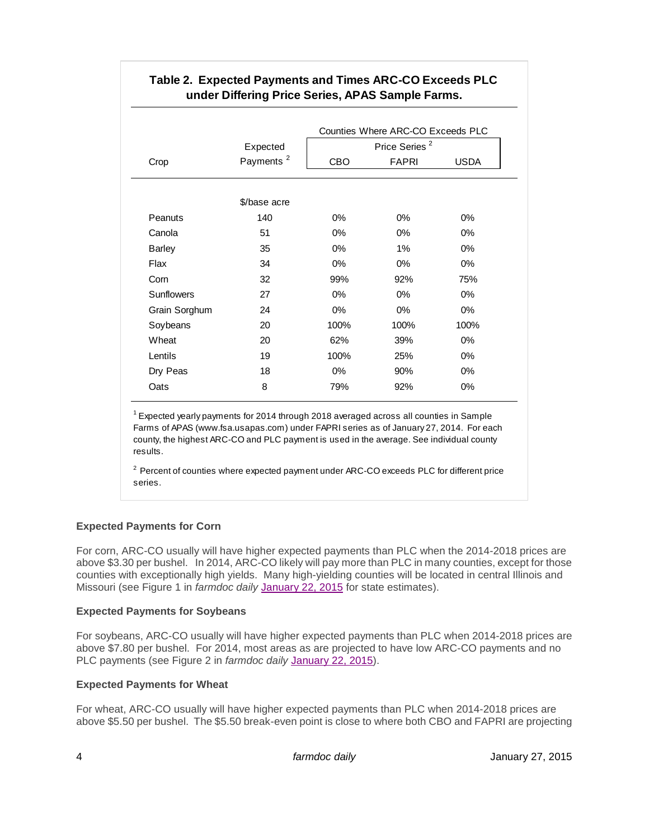|                   | Expected              |       | Counties Where ARC-CO Exceeds PLC<br>Price Series <sup>2</sup> |             |
|-------------------|-----------------------|-------|----------------------------------------------------------------|-------------|
| Crop              | Payments <sup>2</sup> | CBO   | <b>FAPRI</b>                                                   | <b>USDA</b> |
|                   | \$/base acre          |       |                                                                |             |
| Peanuts           | 140                   | $0\%$ | $0\%$                                                          | $0\%$       |
| Canola            | 51                    | $0\%$ | $0\%$                                                          | $0\%$       |
| <b>Barley</b>     | 35                    | $0\%$ | $1\%$                                                          | $0\%$       |
| Flax              | 34                    | $0\%$ | $0\%$                                                          | $0\%$       |
| Corn              | 32                    | 99%   | 92%                                                            | 75%         |
| <b>Sunflowers</b> | 27                    | $0\%$ | $0\%$                                                          | $0\%$       |
| Grain Sorghum     | 24                    | $0\%$ | $0\%$                                                          | $0\%$       |
| Soybeans          | 20                    | 100%  | 100%                                                           | 100%        |
| Wheat             | 20                    | 62%   | 39%                                                            | $0\%$       |
| Lentils           | 19                    | 100%  | 25%                                                            | $0\%$       |
| Dry Peas          | 18                    | $0\%$ | 90%                                                            | $0\%$       |
| Oats              | 8                     | 79%   | 92%                                                            | 0%          |

# **Table 2. Expected Payments and Times ARC-CO Exceeds PLC under Differing Price Series, APAS Sample Farms.**

 $1$  Expected yearly payments for 2014 through 2018 averaged across all counties in Sample Farms of APAS (www.fsa.usapas.com) under FAPRI series as of January 27, 2014. For each county, the highest ARC-CO and PLC payment is used in the average. See individual county results.

 $2$  Percent of counties where expected payment under ARC-CO exceeds PLC for different price series.

## **Expected Payments for Corn**

For corn, ARC-CO usually will have higher expected payments than PLC when the 2014-2018 prices are above \$3.30 per bushel. In 2014, ARC-CO likely will pay more than PLC in many counties, except for those counties with exceptionally high yields. Many high-yielding counties will be located in central Illinois and Missouri (see Figure 1 in *farmdoc daily* [January 22, 2015](http://farmdocdaily.illinois.edu/2015/01/indicated-arc-co-and-plc-payment-2014-crop-year.html) for state estimates).

## **Expected Payments for Soybeans**

For soybeans, ARC-CO usually will have higher expected payments than PLC when 2014-2018 prices are above \$7.80 per bushel. For 2014, most areas as are projected to have low ARC-CO payments and no PLC payments (see Figure 2 in *farmdoc daily* [January 22, 2015\)](http://farmdocdaily.illinois.edu/2015/01/indicated-arc-co-and-plc-payment-2014-crop-year.html).

## **Expected Payments for Wheat**

For wheat, ARC-CO usually will have higher expected payments than PLC when 2014-2018 prices are above \$5.50 per bushel. The \$5.50 break-even point is close to where both CBO and FAPRI are projecting